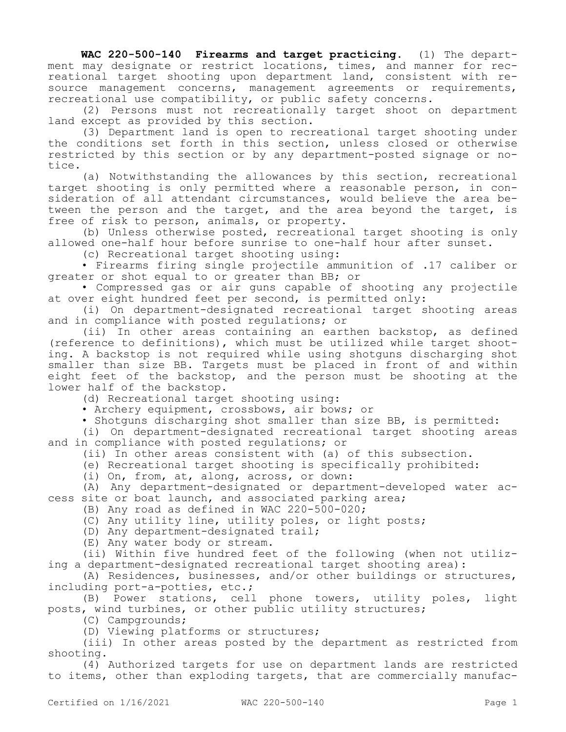**WAC 220-500-140 Firearms and target practicing.** (1) The department may designate or restrict locations, times, and manner for recreational target shooting upon department land, consistent with resource management concerns, management agreements or requirements, recreational use compatibility, or public safety concerns.

(2) Persons must not recreationally target shoot on department land except as provided by this section.

(3) Department land is open to recreational target shooting under the conditions set forth in this section, unless closed or otherwise restricted by this section or by any department-posted signage or notice.

(a) Notwithstanding the allowances by this section, recreational target shooting is only permitted where a reasonable person, in consideration of all attendant circumstances, would believe the area between the person and the target, and the area beyond the target, is free of risk to person, animals, or property.

(b) Unless otherwise posted, recreational target shooting is only allowed one-half hour before sunrise to one-half hour after sunset.

(c) Recreational target shooting using:

• Firearms firing single projectile ammunition of .17 caliber or greater or shot equal to or greater than BB; or

• Compressed gas or air guns capable of shooting any projectile at over eight hundred feet per second, is permitted only:

(i) On department-designated recreational target shooting areas and in compliance with posted regulations; or

(ii) In other areas containing an earthen backstop, as defined (reference to definitions), which must be utilized while target shooting. A backstop is not required while using shotguns discharging shot smaller than size BB. Targets must be placed in front of and within eight feet of the backstop, and the person must be shooting at the lower half of the backstop.

(d) Recreational target shooting using:

• Archery equipment, crossbows, air bows; or

• Shotguns discharging shot smaller than size BB, is permitted:

(i) On department-designated recreational target shooting areas and in compliance with posted regulations; or

(ii) In other areas consistent with (a) of this subsection.

(e) Recreational target shooting is specifically prohibited:

(i) On, from, at, along, across, or down:

(A) Any department-designated or department-developed water access site or boat launch, and associated parking area;

(B) Any road as defined in WAC 220-500-020;

(C) Any utility line, utility poles, or light posts;

(D) Any department-designated trail;

(E) Any water body or stream.

(ii) Within five hundred feet of the following (when not utilizing a department-designated recreational target shooting area):

(A) Residences, businesses, and/or other buildings or structures, including port-a-potties, etc.;

(B) Power stations, cell phone towers, utility poles, light posts, wind turbines, or other public utility structures;

(C) Campgrounds;

(D) Viewing platforms or structures;

(iii) In other areas posted by the department as restricted from shooting.

(4) Authorized targets for use on department lands are restricted to items, other than exploding targets, that are commercially manufac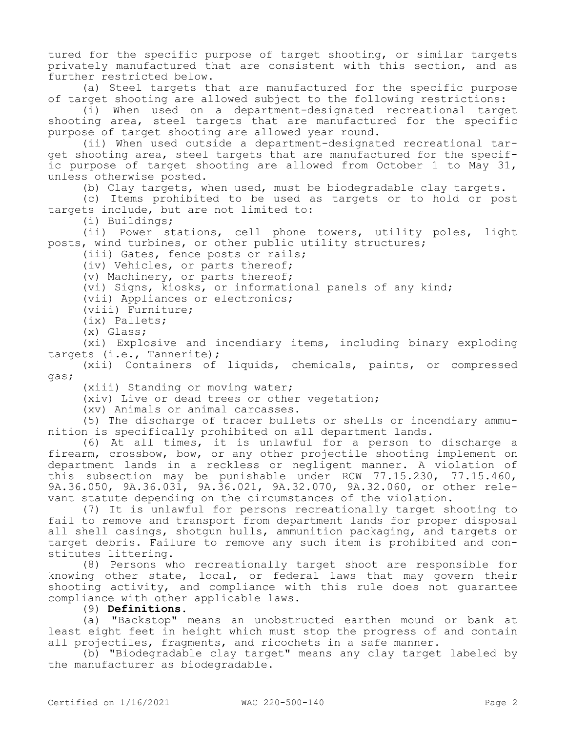tured for the specific purpose of target shooting, or similar targets privately manufactured that are consistent with this section, and as further restricted below.

(a) Steel targets that are manufactured for the specific purpose of target shooting are allowed subject to the following restrictions:

(i) When used on a department-designated recreational target shooting area, steel targets that are manufactured for the specific purpose of target shooting are allowed year round.

(ii) When used outside a department-designated recreational target shooting area, steel targets that are manufactured for the specific purpose of target shooting are allowed from October 1 to May 31, unless otherwise posted.

(b) Clay targets, when used, must be biodegradable clay targets.

(c) Items prohibited to be used as targets or to hold or post targets include, but are not limited to:

(i) Buildings;

(ii) Power stations, cell phone towers, utility poles, light posts, wind turbines, or other public utility structures;

(iii) Gates, fence posts or rails;

(iv) Vehicles, or parts thereof;

(v) Machinery, or parts thereof;

(vi) Signs, kiosks, or informational panels of any kind;

(vii) Appliances or electronics;

(viii) Furniture;

(ix) Pallets;

(x) Glass;

(xi) Explosive and incendiary items, including binary exploding targets (i.e., Tannerite);

(xii) Containers of liquids, chemicals, paints, or compressed gas;

(xiii) Standing or moving water;

(xiv) Live or dead trees or other vegetation;

(xv) Animals or animal carcasses.

(5) The discharge of tracer bullets or shells or incendiary ammunition is specifically prohibited on all department lands.

(6) At all times, it is unlawful for a person to discharge a firearm, crossbow, bow, or any other projectile shooting implement on department lands in a reckless or negligent manner. A violation of this subsection may be punishable under RCW 77.15.230, 77.15.460, 9A.36.050, 9A.36.031, 9A.36.021, 9A.32.070, 9A.32.060, or other relevant statute depending on the circumstances of the violation.

(7) It is unlawful for persons recreationally target shooting to fail to remove and transport from department lands for proper disposal all shell casings, shotgun hulls, ammunition packaging, and targets or target debris. Failure to remove any such item is prohibited and constitutes littering.

(8) Persons who recreationally target shoot are responsible for knowing other state, local, or federal laws that may govern their shooting activity, and compliance with this rule does not guarantee compliance with other applicable laws.

(9) **Definitions.**

(a) "Backstop" means an unobstructed earthen mound or bank at least eight feet in height which must stop the progress of and contain all projectiles, fragments, and ricochets in a safe manner.

(b) "Biodegradable clay target" means any clay target labeled by the manufacturer as biodegradable.